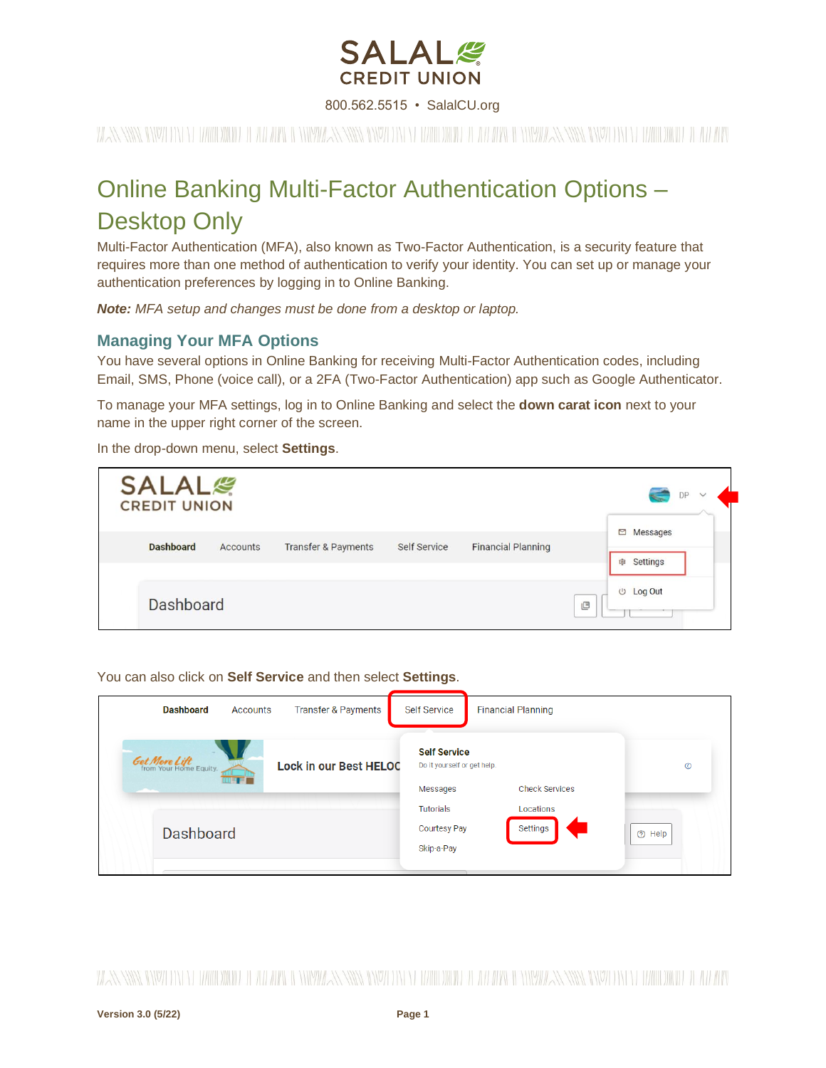

800.562.5515 • SalalCU.org

WAS SING INVELON FEMILIONING TELEVIZION INVELONMENTAL SINGLE INTERFERING IN THE WILL BE SINGLE SINGLE IN TELEVIZIONING TELEVIZION

# Online Banking Multi-Factor Authentication Options – Desktop Only

Multi-Factor Authentication (MFA), also known as Two-Factor Authentication, is a security feature that requires more than one method of authentication to verify your identity. You can set up or manage your authentication preferences by logging in to Online Banking.

*Note: MFA setup and changes must be done from a desktop or laptop.*

# **Managing Your MFA Options**

You have several options in Online Banking for receiving Multi-Factor Authentication codes, including Email, SMS, Phone (voice call), or a 2FA (Two-Factor Authentication) app such as Google Authenticator.

To manage your MFA settings, log in to Online Banking and select the **down carat icon** next to your name in the upper right corner of the screen.

In the drop-down menu, select **Settings**.

| <b>SALAL</b><br><b>CREDIT UNION</b> |          |                                |                     |                           |   | DP<br>$\checkmark$                  |
|-------------------------------------|----------|--------------------------------|---------------------|---------------------------|---|-------------------------------------|
| <b>Dashboard</b>                    | Accounts | <b>Transfer &amp; Payments</b> | <b>Self Service</b> | <b>Financial Planning</b> |   | $\Box$<br>Messages<br>Settings<br>宿 |
| <b>Dashboard</b>                    |          |                                |                     |                           | 凹 | <b><i><u>U</u></i></b> Log Out      |

You can also click on **Self Service** and then select **Settings**.

| <b>Dashboard</b>                               | Accounts | <b>Transfer &amp; Payments</b> | <b>Self Service</b>                                            | <b>Financial Planning</b> |         |
|------------------------------------------------|----------|--------------------------------|----------------------------------------------------------------|---------------------------|---------|
| <b>Get More Lift</b><br>from Your Home Equity. | mir d'   | <b>Lock in our Best HELOC</b>  | <b>Self Service</b><br>Do it yourself or get help.<br>Messages | <b>Check Services</b>     | $\circ$ |
| <b>Dashboard</b>                               |          |                                | Tutorials<br><b>Courtesy Pay</b><br>Skip-a-Pay                 | Locations<br>Settings     | ⊙ Help  |

WANNING INVERTING WITH THE WITH A WINDOW AND INTERFERING IN THE WITH THE WITH A NEW WANNANT IN THE WITHOW IT ANYWH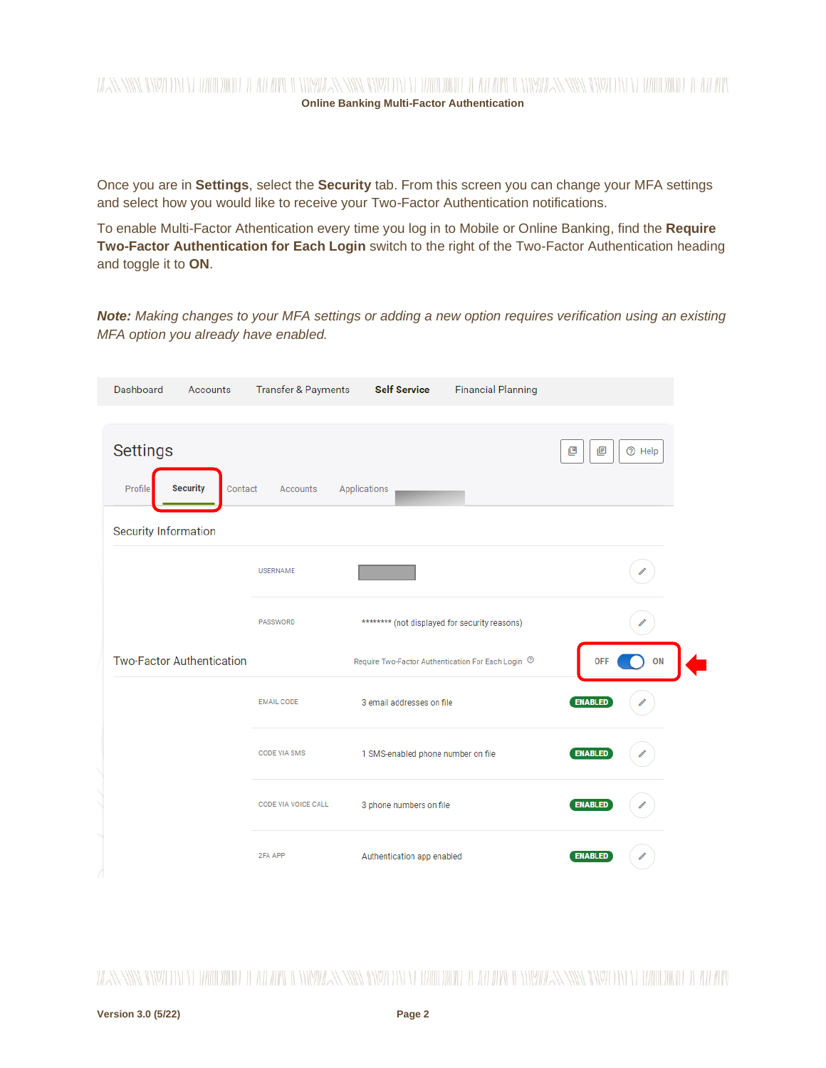

Once you are in **Settings**, select the **Security** tab. From this screen you can change your MFA settings and select how you would like to receive your Two-Factor Authentication notifications.

To enable Multi-Factor Athentication every time you log in to Mobile or Online Banking, find the **Require Two-Factor Authentication for Each Login** switch to the right of the Two-Factor Authentication heading and toggle it to **ON**.

*Note: Making changes to your MFA settings or adding a new option requires verification using an existing MFA option you already have enabled.* 

| Dashboard                                                             | Accounts | <b>Transfer &amp; Payments</b> | <b>Self Service</b>                                           | <b>Financial Planning</b> |                         |
|-----------------------------------------------------------------------|----------|--------------------------------|---------------------------------------------------------------|---------------------------|-------------------------|
| <b>Settings</b><br><b>Security</b><br>Profile<br>Security Information | Contact  | Accounts                       | Applications                                                  |                           | 凹<br><b>2</b> Help<br>画 |
|                                                                       |          | <b>USERNAME</b>                |                                                               |                           |                         |
|                                                                       |          | PASSWORD                       | ******** (not displayed for security reasons)                 |                           |                         |
| <b>Two-Factor Authentication</b>                                      |          |                                | Require Two-Factor Authentication For Each Login <sup>7</sup> |                           | <b>OFF</b><br>ON        |
|                                                                       |          | <b>EMAIL CODE</b>              | 3 email addresses on file                                     |                           | <b>ENABLED</b>          |
|                                                                       |          | <b>CODE VIA SMS</b>            | 1 SMS-enabled phone number on file                            |                           | <b>ENABLED</b>          |
|                                                                       |          | CODE VIA VOICE CALL            | 3 phone numbers on file                                       |                           | <b>ENABLED</b>          |
|                                                                       |          | 2FA APP                        | Authentication app enabled                                    |                           | <b>ENABLED</b>          |

WANNING INVITIN'N TIMOLOWID TEATRICI WAYNE MARIA INVITIN'N TIMO WATER AT ARAW INVITAN NIVER INVITIN'N TIMOWID TEATRIC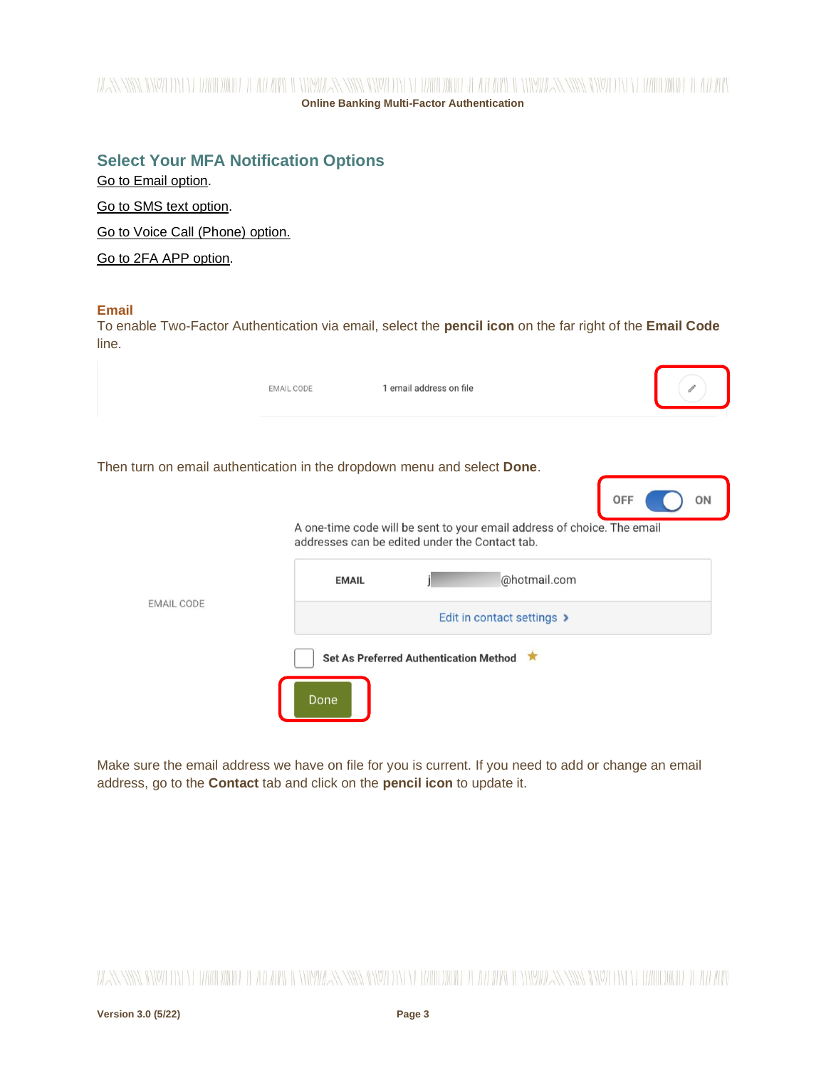# WANNING INALITY WILLOW IT ALL WALLET HIMPSHARN WARD IN YEAH WILLOW IT ALL WALLET HIMPSHARN INALITY OF WILLOW IN **Online Banking Multi-Factor Authentication**

# **Select Your MFA Notification Options**

[Go to Email option.](#page-2-0) Go [to SMS text option.](#page-3-0) Go [to Voice Call \(Phone\)](#page-5-0) option.

[Go to 2FA APP](#page-6-0) option.

#### <span id="page-2-0"></span>**Email**

To enable Two-Factor Authentication via email, select the **pencil icon** on the far right of the **Email Code** line.

|                                                                         | <b>EMAIL CODE</b> | 1 email address on file                        |                                                                         |           |
|-------------------------------------------------------------------------|-------------------|------------------------------------------------|-------------------------------------------------------------------------|-----------|
| Then turn on email authentication in the dropdown menu and select Done. |                   |                                                |                                                                         | OFF<br>ON |
|                                                                         |                   | addresses can be edited under the Contact tab. | A one-time code will be sent to your email address of choice. The email |           |
|                                                                         | <b>EMAIL</b>      |                                                | @hotmail.com                                                            |           |
| <b>EMAIL CODE</b>                                                       |                   |                                                | Edit in contact settings >                                              |           |
|                                                                         |                   | Set As Preferred Authentication Method         |                                                                         |           |
|                                                                         | Done              |                                                |                                                                         |           |

Make sure the email address we have on file for you is current. If you need to add or change an email address, go to the **Contact** tab and click on the **pencil icon** to update it.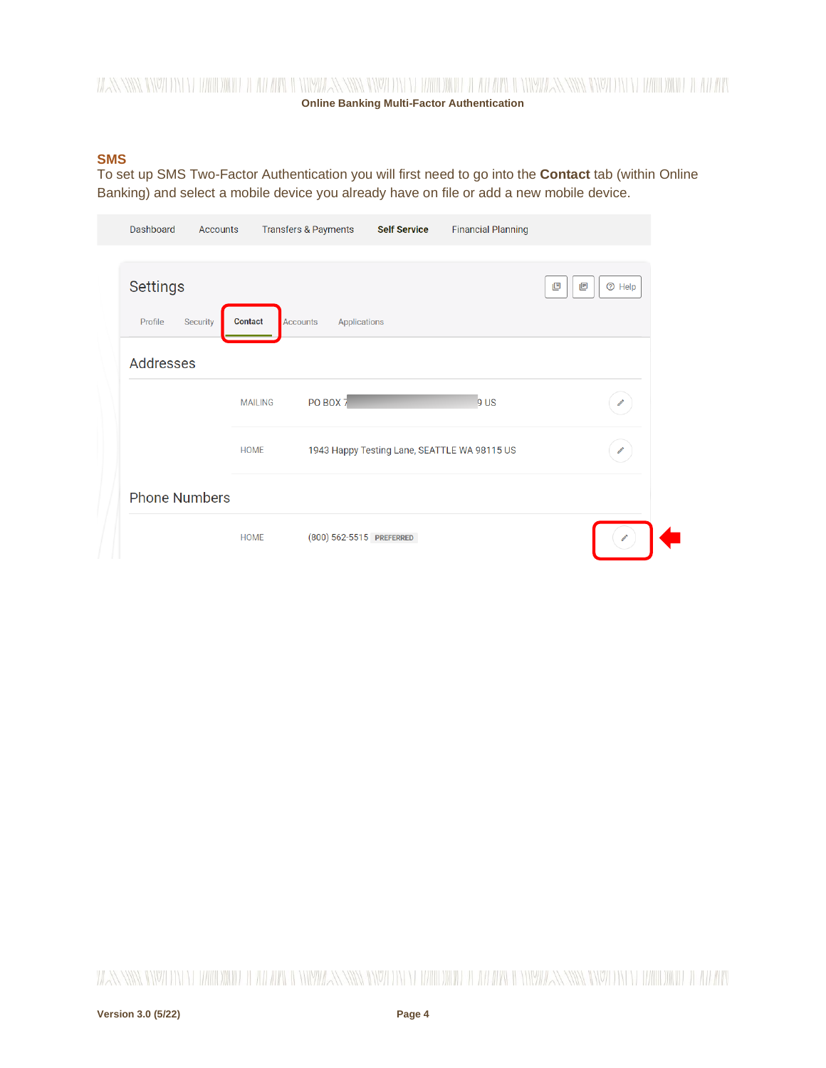# WANNING INVELLENTED IN HELL IN THE RESERVED ON HELL DIGIT OF THE DIGIT AND INTERNATIONAL AND INVELLANT IN THE DIGIT OF ALL INVELLANTING IN THE REPORT OF A LIMIT OF THE REPORT OF A LIMIT OF A LIMIT OF A LIMIT OF A LIMIT OF **Online Banking Multi-Factor Authentication**

#### <span id="page-3-0"></span>**SMS**

To set up SMS Two-Factor Authentication you will first need to go into the **Contact** tab (within Online Banking) and select a mobile device you already have on file or add a new mobile device.

| Dashboard<br><b>Accounts</b>                  |                | <b>Transfers &amp; Payments</b> | <b>Self Service</b> | <b>Financial Planning</b>                    |                         |
|-----------------------------------------------|----------------|---------------------------------|---------------------|----------------------------------------------|-------------------------|
| <b>Settings</b><br>Profile<br><b>Security</b> | <b>Contact</b> | <b>Accounts</b><br>Applications |                     |                                              | 画<br><b>2</b> Help<br>凹 |
| Addresses                                     |                |                                 |                     |                                              |                         |
|                                               | <b>MAILING</b> | PO BOX 7                        |                     | 9 <sup>US</sup>                              | Í                       |
|                                               | <b>HOME</b>    |                                 |                     | 1943 Happy Testing Lane, SEATTLE WA 98115 US | $\mathscr{O}^*$         |
| <b>Phone Numbers</b>                          |                |                                 |                     |                                              |                         |
|                                               | <b>HOME</b>    | (800) 562-5515 PREFERRED        |                     |                                              |                         |

WANNING INVITIN'N TIMOLOMITETEATI AN MALENTING INVITIN'N TIMOLOMITETEATI MALENTING INVITIN'N TIMOLOMITETEATI MA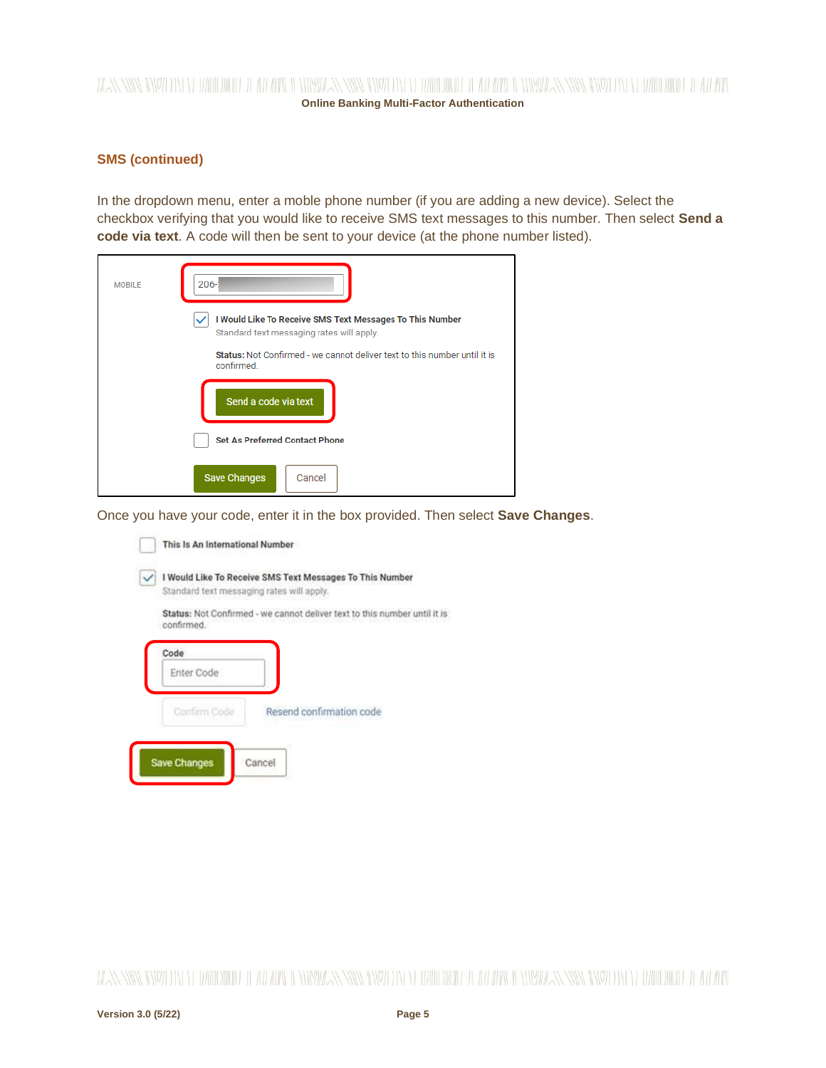# WANNING INVELLENTED IN HELL IN THE RESERVED ON HELL DIGIT OF THE DIGIT AND INTERNATIONAL AND INVELLANT IN THE DIGIT OF ALL INVELLANTING IN THE REPORT OF A LIMIT OF THE REPORT OF A LIMIT OF A LIMIT OF A LIMIT OF A LIMIT OF **Online Banking Multi-Factor Authentication**

#### **SMS (continued)**

In the dropdown menu, enter a moble phone number (if you are adding a new device). Select the checkbox verifying that you would like to receive SMS text messages to this number. Then select **Send a code via text**. A code will then be sent to your device (at the phone number listed).

| <b>MOBILE</b> | $206 - 2$                                                                                             |
|---------------|-------------------------------------------------------------------------------------------------------|
|               | I Would Like To Receive SMS Text Messages To This Number<br>Standard text messaging rates will apply. |
|               | Status: Not Confirmed - we cannot deliver text to this number until it is<br>confirmed.               |
|               | Send a code via text                                                                                  |
|               | <b>Set As Preferred Contact Phone</b>                                                                 |
|               | <b>Save Changes</b><br>Cancel                                                                         |

Once you have your code, enter it in the box provided. Then select **Save Changes**.

| This Is An International Number                                                                       |  |  |  |  |  |  |
|-------------------------------------------------------------------------------------------------------|--|--|--|--|--|--|
| I Would Like To Receive SMS Text Messages To This Number<br>Standard text messaging rates will apply. |  |  |  |  |  |  |
| Status: Not Confirmed - we cannot deliver text to this number until it is<br>confirmed.               |  |  |  |  |  |  |
| Code<br>Enter Code                                                                                    |  |  |  |  |  |  |
| Resend confirmation code<br>Confirm Code                                                              |  |  |  |  |  |  |
| Cancel<br><b>Save Changes</b>                                                                         |  |  |  |  |  |  |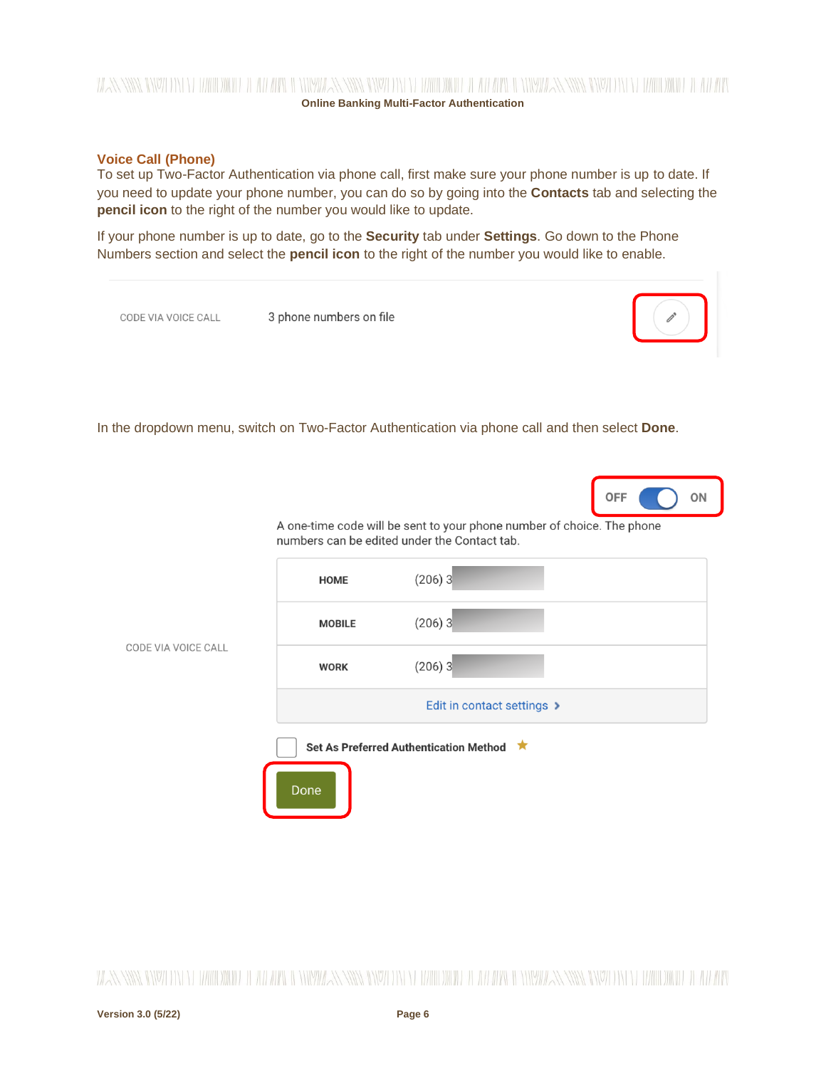# WANNING DIVOLENT EL HARD DIGHE EL TERMAN DI NEWS ANNE DIVOLENT EL HARDDIG EL ATLARY DI NEWS ANNING DIVOLENTE LA HARDDIG EL ATLARY **Online Banking Multi-Factor Authentication**

#### <span id="page-5-0"></span>**Voice Call (Phone)**

To set up Two-Factor Authentication via phone call, first make sure your phone number is up to date. If you need to update your phone number, you can do so by going into the **Contacts** tab and selecting the **pencil icon** to the right of the number you would like to update.

If your phone number is up to date, go to the **Security** tab under **Settings**. Go down to the Phone Numbers section and select the **pencil icon** to the right of the number you would like to enable.



A one-time code will be sent to your phone number of choice. The phone numbers can be edited under the Contact tab.

|                     | <b>HOME</b>   | $(206)$ 3                              |
|---------------------|---------------|----------------------------------------|
|                     | <b>MOBILE</b> | $(206)$ 3                              |
| CODE VIA VOICE CALL | <b>WORK</b>   | $(206)$ 3                              |
|                     |               | Edit in contact settings >             |
|                     |               | Set As Preferred Authentication Method |
|                     | Done          |                                        |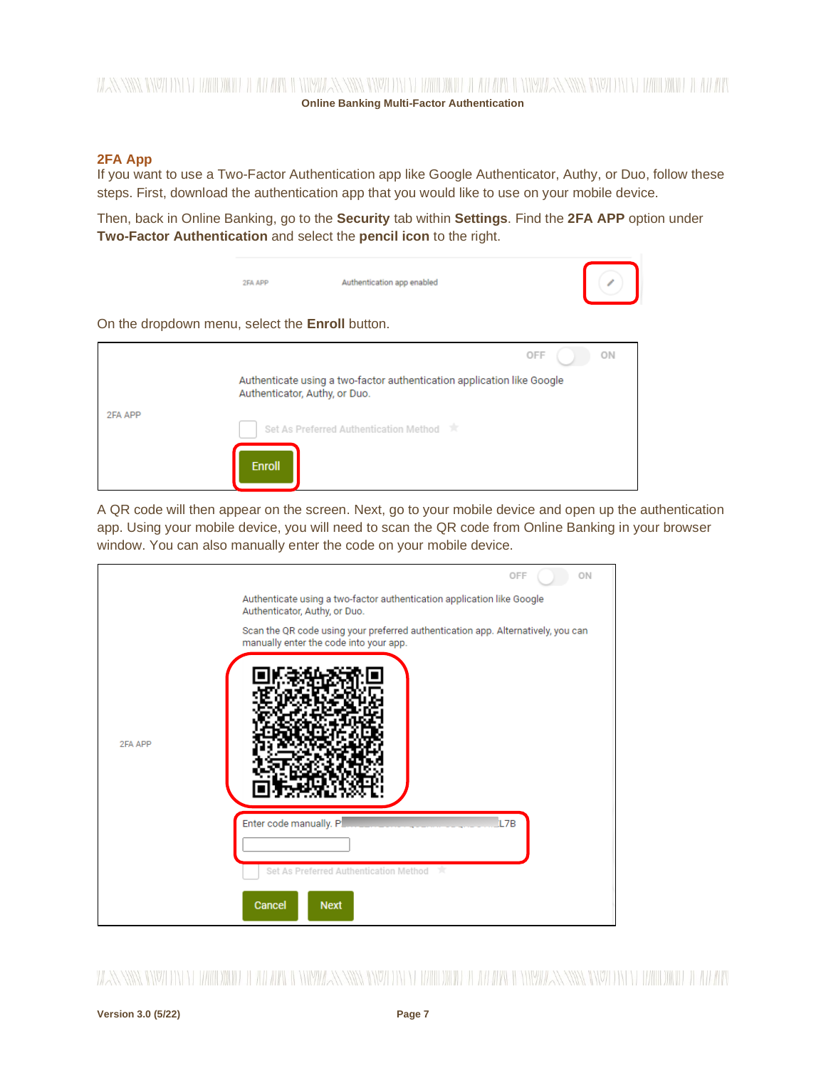# **Online Banking Multi-Factor Authentication**

#### <span id="page-6-0"></span>**2FA App**

If you want to use a Two-Factor Authentication app like Google Authenticator, Authy, or Duo, follow these steps. First, download the authentication app that you would like to use on your mobile device.

Then, back in Online Banking, go to the **Security** tab within **Settings**. Find the **2FA APP** option under **Two-Factor Authentication** and select the **pencil icon** to the right.



A QR code will then appear on the screen. Next, go to your mobile device and open up the authentication app. Using your mobile device, you will need to scan the QR code from Online Banking in your browser window. You can also manually enter the code on your mobile device.

|         | OFF<br>ON                                                                                                                  |
|---------|----------------------------------------------------------------------------------------------------------------------------|
|         | Authenticate using a two-factor authentication application like Google<br>Authenticator, Authy, or Duo.                    |
|         | Scan the QR code using your preferred authentication app. Alternatively, you can<br>manually enter the code into your app. |
| 2FA APP |                                                                                                                            |
|         | Enter code manually. P<br><b>L7B</b>                                                                                       |
|         | Set As Preferred Authentication Method<br>- sir                                                                            |
|         | Cancel<br><b>Next</b>                                                                                                      |

WANNING INVERTING WITH THE WITH A WINDOW AND INTERFERING IN THE WITH THE WITH A NEW WANNANT IN THE WITHOW IT ANYWH